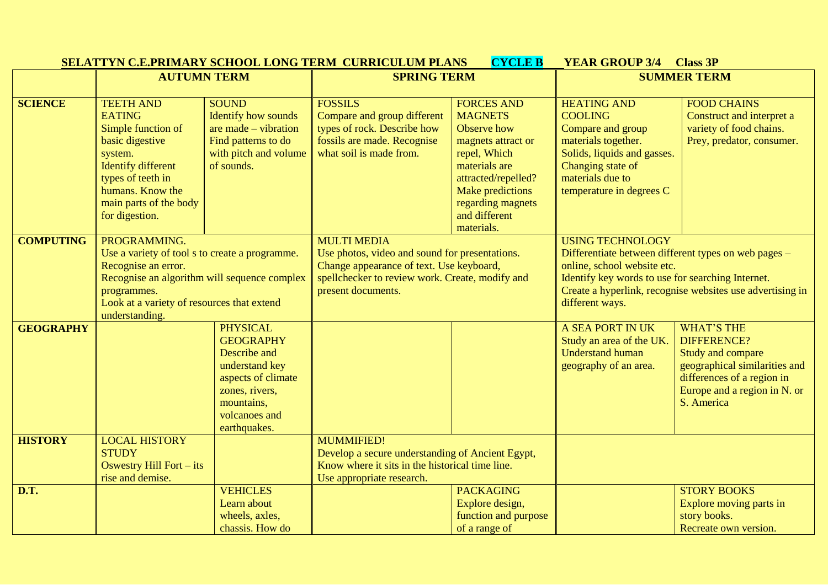| <b>AUTUMN TERM</b><br><b>SPRING TERM</b>                                                                                                        | <b>SUMMER TERM</b>                                        |  |
|-------------------------------------------------------------------------------------------------------------------------------------------------|-----------------------------------------------------------|--|
|                                                                                                                                                 |                                                           |  |
| <b>FOSSILS</b><br><b>TEETH AND</b><br><b>SOUND</b><br><b>FORCES AND</b><br><b>HEATING AND</b><br><b>FOOD CHAINS</b><br><b>SCIENCE</b>           |                                                           |  |
| <b>Identify how sounds</b><br>Compare and group different<br><b>MAGNETS</b><br><b>COOLING</b><br><b>EATING</b><br>Construct and interpret a     |                                                           |  |
| are made $-$ vibration<br>types of rock. Describe how<br>Simple function of<br>Observe how<br>Compare and group<br>variety of food chains.      |                                                           |  |
| fossils are made. Recognise<br>materials together.<br>basic digestive<br>Find patterns to do<br>Prey, predator, consumer.<br>magnets attract or |                                                           |  |
| what soil is made from.<br>with pitch and volume<br>Solids, liquids and gasses.<br>repel, Which<br>system.                                      |                                                           |  |
| Changing state of<br><b>Identify different</b><br>of sounds.<br>materials are                                                                   |                                                           |  |
| types of teeth in<br>materials due to<br>attracted/repelled?                                                                                    |                                                           |  |
| humans. Know the<br>temperature in degrees C<br>Make predictions                                                                                |                                                           |  |
| main parts of the body<br>regarding magnets                                                                                                     |                                                           |  |
| and different<br>for digestion.<br>materials.                                                                                                   |                                                           |  |
| <b>MULTI MEDIA</b><br><b>USING TECHNOLOGY</b><br>PROGRAMMING.<br><b>COMPUTING</b>                                                               |                                                           |  |
| Use photos, video and sound for presentations.<br>Use a variety of tool s to create a programme.                                                | Differentiate between different types on web pages -      |  |
| Change appearance of text. Use keyboard,<br>Recognise an error.<br>online, school website etc.                                                  |                                                           |  |
| Recognise an algorithm will sequence complex<br>spellchecker to review work. Create, modify and                                                 | Identify key words to use for searching Internet.         |  |
| present documents.<br>programmes.                                                                                                               | Create a hyperlink, recognise websites use advertising in |  |
| Look at a variety of resources that extend                                                                                                      | different ways.                                           |  |
| understanding.                                                                                                                                  |                                                           |  |
| <b>PHYSICAL</b><br><b>A SEA PORT IN UK</b><br><b>WHAT'S THE</b><br><b>GEOGRAPHY</b>                                                             |                                                           |  |
| <b>GEOGRAPHY</b><br><b>DIFFERENCE?</b><br>Study an area of the UK.                                                                              |                                                           |  |
| Describe and<br><b>Understand human</b><br>Study and compare                                                                                    |                                                           |  |
| geographical similarities and<br>understand key<br>geography of an area.                                                                        |                                                           |  |
| aspects of climate<br>differences of a region in                                                                                                |                                                           |  |
| Europe and a region in N. or<br>zones, rivers,                                                                                                  |                                                           |  |
| mountains,<br>S. America                                                                                                                        |                                                           |  |
| volcanoes and                                                                                                                                   |                                                           |  |
| earthquakes.                                                                                                                                    |                                                           |  |
| <b>HISTORY</b><br><b>LOCAL HISTORY</b><br><b>MUMMIFIED!</b>                                                                                     |                                                           |  |
| <b>STUDY</b><br>Develop a secure understanding of Ancient Egypt,                                                                                |                                                           |  |
| Know where it sits in the historical time line.<br>Oswestry Hill Fort - its                                                                     |                                                           |  |
| rise and demise.<br>Use appropriate research.<br><b>VEHICLES</b><br><b>PACKAGING</b><br><b>STORY BOOKS</b><br><b>D.T.</b>                       |                                                           |  |
| Learn about                                                                                                                                     |                                                           |  |
| Explore design,<br>Explore moving parts in<br>function and purpose<br>wheels, axles,<br>story books.                                            |                                                           |  |
| chassis. How do<br>of a range of<br>Recreate own version.                                                                                       |                                                           |  |